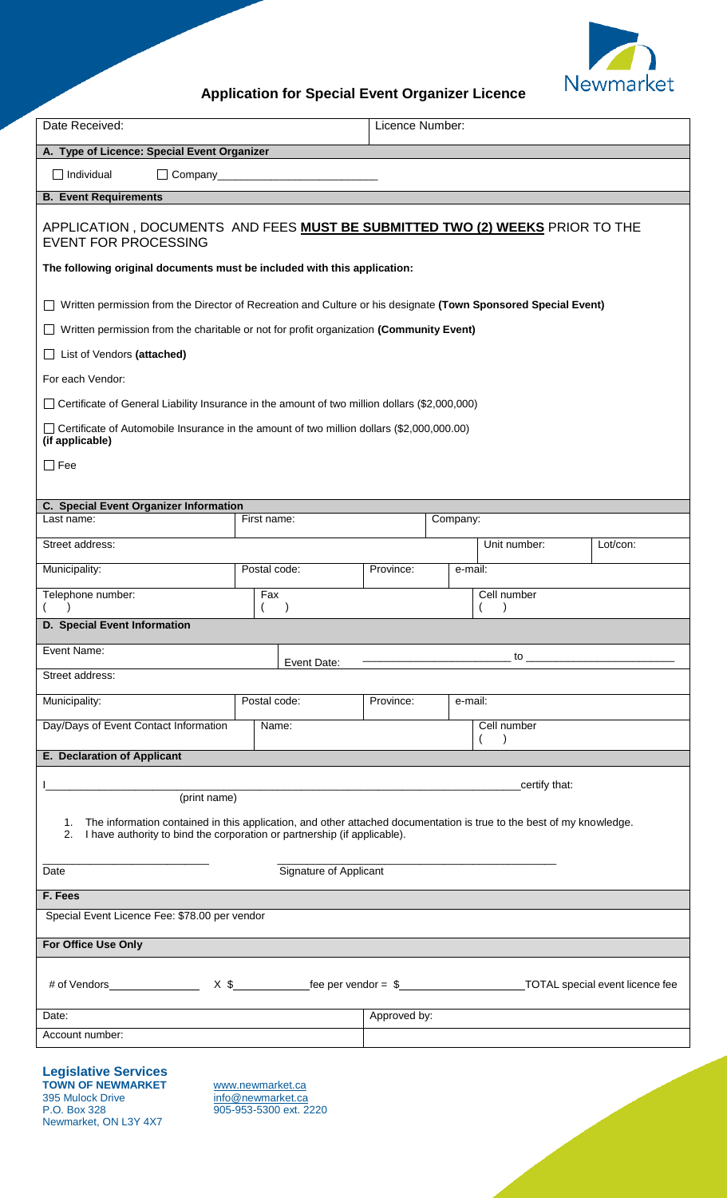

## **Application for Special Event Organizer Licence**

| Date Received:                                                                                                                                                                                            |                                             | Licence Number: |          |                                          |          |  |  |
|-----------------------------------------------------------------------------------------------------------------------------------------------------------------------------------------------------------|---------------------------------------------|-----------------|----------|------------------------------------------|----------|--|--|
|                                                                                                                                                                                                           | A. Type of Licence: Special Event Organizer |                 |          |                                          |          |  |  |
| $\Box$ Individual                                                                                                                                                                                         |                                             |                 |          |                                          |          |  |  |
| <b>B. Event Requirements</b>                                                                                                                                                                              |                                             |                 |          |                                          |          |  |  |
| APPLICATION , DOCUMENTS AND FEES MUST BE SUBMITTED TWO (2) WEEKS PRIOR TO THE<br><b>EVENT FOR PROCESSING</b>                                                                                              |                                             |                 |          |                                          |          |  |  |
| The following original documents must be included with this application:                                                                                                                                  |                                             |                 |          |                                          |          |  |  |
| □ Written permission from the Director of Recreation and Culture or his designate (Town Sponsored Special Event)                                                                                          |                                             |                 |          |                                          |          |  |  |
| Written permission from the charitable or not for profit organization (Community Event)<br>$\Box$                                                                                                         |                                             |                 |          |                                          |          |  |  |
| List of Vendors (attached)<br>$\Box$                                                                                                                                                                      |                                             |                 |          |                                          |          |  |  |
| For each Vendor:                                                                                                                                                                                          |                                             |                 |          |                                          |          |  |  |
| □ Certificate of General Liability Insurance in the amount of two million dollars (\$2,000,000)                                                                                                           |                                             |                 |          |                                          |          |  |  |
| □ Certificate of Automobile Insurance in the amount of two million dollars (\$2,000,000.00)<br>(if applicable)                                                                                            |                                             |                 |          |                                          |          |  |  |
| $\Box$ Fee                                                                                                                                                                                                |                                             |                 |          |                                          |          |  |  |
|                                                                                                                                                                                                           |                                             |                 |          |                                          |          |  |  |
| C. Special Event Organizer Information<br>Last name:                                                                                                                                                      | First name:                                 |                 | Company: |                                          |          |  |  |
| Street address:                                                                                                                                                                                           |                                             |                 |          | Unit number:                             | Lot/con: |  |  |
| Municipality:                                                                                                                                                                                             | Postal code:                                | Province:       | e-mail:  |                                          |          |  |  |
| Telephone number:                                                                                                                                                                                         | Fax                                         |                 |          | Cell number                              |          |  |  |
|                                                                                                                                                                                                           |                                             |                 |          |                                          |          |  |  |
| D. Special Event Information                                                                                                                                                                              |                                             |                 |          |                                          |          |  |  |
| Event Name:                                                                                                                                                                                               | Event Date:                                 |                 |          |                                          |          |  |  |
| Street address:                                                                                                                                                                                           |                                             |                 |          |                                          |          |  |  |
| Municipality:                                                                                                                                                                                             | Postal code:                                | Province:       | e-mail:  |                                          |          |  |  |
| Day/Days of Event Contact Information                                                                                                                                                                     | Name:                                       |                 |          | Cell number<br>$\left($<br>$\rightarrow$ |          |  |  |
| E. Declaration of Applicant                                                                                                                                                                               |                                             |                 |          |                                          |          |  |  |
| _certify that:<br><u> 2000 - Andrea Andrew Maria (h. 1888).</u>                                                                                                                                           |                                             |                 |          |                                          |          |  |  |
| (print name)                                                                                                                                                                                              |                                             |                 |          |                                          |          |  |  |
| 1. The information contained in this application, and other attached documentation is true to the best of my knowledge.<br>I have authority to bind the corporation or partnership (if applicable).<br>2. |                                             |                 |          |                                          |          |  |  |
| Signature of Applicant<br>Date                                                                                                                                                                            |                                             |                 |          |                                          |          |  |  |
| F. Fees                                                                                                                                                                                                   |                                             |                 |          |                                          |          |  |  |
| Special Event Licence Fee: \$78.00 per vendor                                                                                                                                                             |                                             |                 |          |                                          |          |  |  |
| For Office Use Only                                                                                                                                                                                       |                                             |                 |          |                                          |          |  |  |
|                                                                                                                                                                                                           |                                             |                 |          |                                          |          |  |  |
| Date:                                                                                                                                                                                                     |                                             | Approved by:    |          |                                          |          |  |  |
| Account number:                                                                                                                                                                                           |                                             |                 |          |                                          |          |  |  |
| <b>Legislative Services</b><br><b>TOWN OF NEWMARKET</b><br>www.newmarket.ca                                                                                                                               |                                             |                 |          |                                          |          |  |  |

395 Mulock Drive [info@newmarket.ca](mailto:info@newmarket.ca) P.O. Box 328 905-953-5300 ext. 2220 Newmarket, ON L3Y 4X7